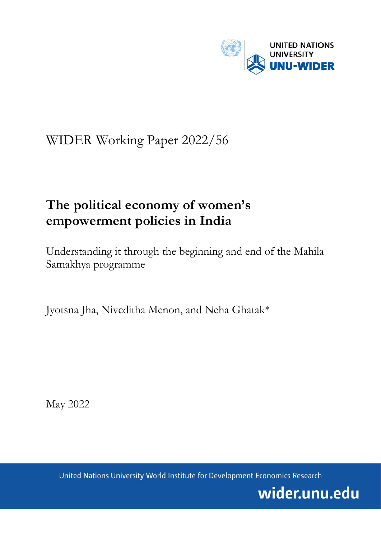

# WIDER Working Paper 2022/56

# **The political economy of women's empowerment policies in India**

Understanding it through the beginning and end of the Mahila Samakhya programme

Jyotsna Jha, Niveditha Menon, and Neha Ghatak\*

May 2022

United Nations University World Institute for Development Economics Research

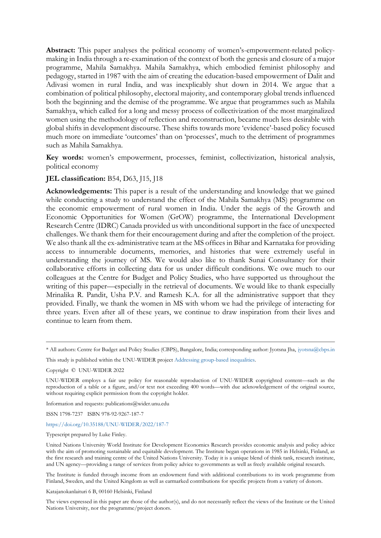**Abstract:** This paper analyses the political economy of women's-empowerment-related policymaking in India through a re-examination of the context of both the genesis and closure of a major programme, Mahila Samakhya. Mahila Samakhya, which embodied feminist philosophy and pedagogy, started in 1987 with the aim of creating the education-based empowerment of Dalit and Adivasi women in rural India, and was inexplicably shut down in 2014. We argue that a combination of political philosophy, electoral majority, and contemporary global trends influenced both the beginning and the demise of the programme. We argue that programmes such as Mahila Samakhya, which called for a long and messy process of collectivization of the most marginalized women using the methodology of reflection and reconstruction, became much less desirable with global shifts in development discourse. These shifts towards more 'evidence'-based policy focused much more on immediate 'outcomes' than on 'processes', much to the detriment of programmes such as Mahila Samakhya.

**Key words:** women's empowerment, processes, feminist, collectivization, historical analysis, political economy

#### **JEL classification:** B54, D63, J15, J18

**Acknowledgements:** This paper is a result of the understanding and knowledge that we gained while conducting a study to understand the effect of the Mahila Samakhya (MS) programme on the economic empowerment of rural women in India. Under the aegis of the Growth and Economic Opportunities for Women (GrOW) programme, the International Development Research Centre (IDRC) Canada provided us with unconditional support in the face of unexpected challenges. We thank them for their encouragement during and after the completion of the project. We also thank all the ex-administrative team at the MS offices in Bihar and Karnataka for providing access to innumerable documents, memories, and histories that were extremely useful in understanding the journey of MS. We would also like to thank Sunai Consultancy for their collaborative efforts in collecting data for us under difficult conditions. We owe much to our colleagues at the Centre for Budget and Policy Studies, who have supported us throughout the writing of this paper—especially in the retrieval of documents. We would like to thank especially Mrinalika R. Pandit, Usha P.V. and Ramesh K.A. for all the administrative support that they provided. Finally, we thank the women in MS with whom we had the privilege of interacting for three years. Even after all of these years, we continue to draw inspiration from their lives and continue to learn from them.

Copyright © UNU-WIDER 2022

Information and requests: publications@wider.unu.edu

ISSN 1798-7237 ISBN 978-92-9267-187-7

#### <https://doi.org/10.35188/UNU-WIDER/2022/187-7>

Typescript prepared by Luke Finley.

The Institute is funded through income from an endowment fund with additional contributions to its work programme from Finland, Sweden, and the United Kingdom as well as earmarked contributions for specific projects from a variety of donors.

Katajanokanlaituri 6 B, 00160 Helsinki, Finland

The views expressed in this paper are those of the author(s), and do not necessarily reflect the views of the Institute or the United Nations University, nor the programme/project donors.

<sup>\*</sup> All authors: Centre for Budget and Policy Studies (CBPS), Bangalore, India; corresponding author: Jyotsna Jha, [jyotsna@cbps.in](mailto:jyotsna@cbps.in)

This study is published within the UNU-WIDER projec[t Addressing group-based inequalities.](https://www.wider.unu.edu/node/237111)

UNU-WIDER employs a fair use policy for reasonable reproduction of UNU-WIDER copyrighted content—such as the reproduction of a table or a figure, and/or text not exceeding 400 words—with due acknowledgement of the original source, without requiring explicit permission from the copyright holder.

United Nations University World Institute for Development Economics Research provides economic analysis and policy advice with the aim of promoting sustainable and equitable development. The Institute began operations in 1985 in Helsinki, Finland, as the first research and training centre of the United Nations University. Today it is a unique blend of think tank, research institute, and UN agency—providing a range of services from policy advice to governments as well as freely available original research.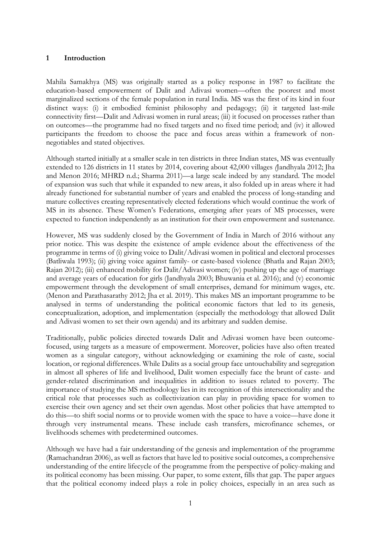### **1 Introduction**

Mahila Samakhya (MS) was originally started as a policy response in 1987 to facilitate the education-based empowerment of Dalit and Adivasi women—often the poorest and most marginalized sections of the female population in rural India. MS was the first of its kind in four distinct ways: (i) it embodied feminist philosophy and pedagogy; (ii) it targeted last-mile connectivity first—Dalit and Adivasi women in rural areas; (iii) it focused on processes rather than on outcomes—the programme had no fixed targets and no fixed time period; and (iv) it allowed participants the freedom to choose the pace and focus areas within a framework of nonnegotiables and stated objectives.

Although started initially at a smaller scale in ten districts in three Indian states, MS was eventually extended to 126 districts in 11 states by 2014, covering about 42,000 villages *(*Jandhyala 2012; Jha and Menon 2016; MHRD n.d.; Sharma 2011)—a large scale indeed by any standard. The model of expansion was such that while it expanded to new areas, it also folded up in areas where it had already functioned for substantial number of years and enabled the process of long-standing and mature collectives creating representatively elected federations which would continue the work of MS in its absence. These Women's Federations, emerging after years of MS processes, were expected to function independently as an institution for their own empowerment and sustenance.

However, MS was suddenly closed by the Government of India in March of 2016 without any prior notice. This was despite the existence of ample evidence about the effectiveness of the programme in terms of (i) giving voice to Dalit/Adivasi women in political and electoral processes (Batliwala 1993); (ii) giving voice against family- or caste-based violence (Bhatla and Rajan 2003; Rajan 2012); (iii) enhanced mobility for Dalit/Adivasi women; (iv) pushing up the age of marriage and average years of education for girls (Jandhyala 2003; Bhuwania et al. 2016); and (v) economic empowerment through the development of small enterprises, demand for minimum wages, etc. (Menon and Parathasarathy 2012; Jha et al. 2019). This makes MS an important programme to be analysed in terms of understanding the political economic factors that led to its genesis, conceptualization, adoption, and implementation (especially the methodology that allowed Dalit and Adivasi women to set their own agenda) and its arbitrary and sudden demise.

Traditionally, public policies directed towards Dalit and Adivasi women have been outcomefocused, using targets as a measure of empowerment. Moreover, policies have also often treated women as a singular category, without acknowledging or examining the role of caste, social location, or regional differences. While Dalits as a social group face untouchability and segregation in almost all spheres of life and livelihood, Dalit women especially face the brunt of caste- and gender-related discrimination and inequalities in addition to issues related to poverty. The importance of studying the MS methodology lies in its recognition of this intersectionality and the critical role that processes such as collectivization can play in providing space for women to exercise their own agency and set their own agendas. Most other policies that have attempted to do this—to shift social norms or to provide women with the space to have a voice—have done it through very instrumental means. These include cash transfers, microfinance schemes, or livelihoods schemes with predetermined outcomes.

Although we have had a fair understanding of the genesis and implementation of the programme (Ramachandran 2006), as well as factors that have led to positive social outcomes, a comprehensive understanding of the entire lifecycle of the programme from the perspective of policy-making and its political economy has been missing. Our paper, to some extent, fills that gap. The paper argues that the political economy indeed plays a role in policy choices, especially in an area such as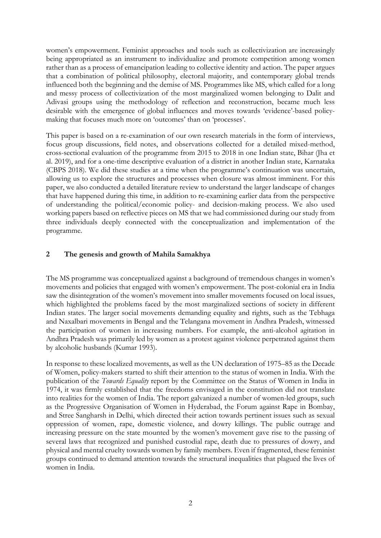women's empowerment. Feminist approaches and tools such as collectivization are increasingly being appropriated as an instrument to individualize and promote competition among women rather than as a process of emancipation leading to collective identity and action. The paper argues that a combination of political philosophy, electoral majority, and contemporary global trends influenced both the beginning and the demise of MS. Programmes like MS, which called for a long and messy process of collectivization of the most marginalized women belonging to Dalit and Adivasi groups using the methodology of reflection and reconstruction, became much less desirable with the emergence of global influences and moves towards 'evidence'-based policymaking that focuses much more on 'outcomes' than on 'processes'.

This paper is based on a re-examination of our own research materials in the form of interviews, focus group discussions, field notes, and observations collected for a detailed mixed-method, cross-sectional evaluation of the programme from 2015 to 2018 in one Indian state, Bihar (Jha et al. 2019), and for a one-time descriptive evaluation of a district in another Indian state, Karnataka (CBPS 2018). We did these studies at a time when the programme's continuation was uncertain, allowing us to explore the structures and processes when closure was almost imminent. For this paper, we also conducted a detailed literature review to understand the larger landscape of changes that have happened during this time, in addition to re-examining earlier data from the perspective of understanding the political/economic policy- and decision-making process. We also used working papers based on reflective pieces on MS that we had commissioned during our study from three individuals deeply connected with the conceptualization and implementation of the programme.

## **2 The genesis and growth of Mahila Samakhya**

The MS programme was conceptualized against a background of tremendous changes in women's movements and policies that engaged with women's empowerment. The post-colonial era in India saw the disintegration of the women's movement into smaller movements focused on local issues, which highlighted the problems faced by the most marginalized sections of society in different Indian states. The larger social movements demanding equality and rights, such as the Tebhaga and Naxalbari movements in Bengal and the Telangana movement in Andhra Pradesh, witnessed the participation of women in increasing numbers. For example, the anti-alcohol agitation in Andhra Pradesh was primarily led by women as a protest against violence perpetrated against them by alcoholic husbands (Kumar 1993).

In response to these localized movements, as well as the UN declaration of 1975–85 as the Decade of Women, policy-makers started to shift their attention to the status of women in India. With the publication of the *Towards Equality* report by the Committee on the Status of Women in India in 1974, it was firmly established that the freedoms envisaged in the constitution did not translate into realities for the women of India. The report galvanized a number of women-led groups, such as the Progressive Organisation of Women in Hyderabad, the Forum against Rape in Bombay, and Stree Sangharsh in Delhi, which directed their action towards pertinent issues such as sexual oppression of women, rape, domestic violence, and dowry killings. The public outrage and increasing pressure on the state mounted by the women's movement gave rise to the passing of several laws that recognized and punished custodial rape, death due to pressures of dowry, and physical and mental cruelty towards women by family members. Even if fragmented, these feminist groups continued to demand attention towards the structural inequalities that plagued the lives of women in India.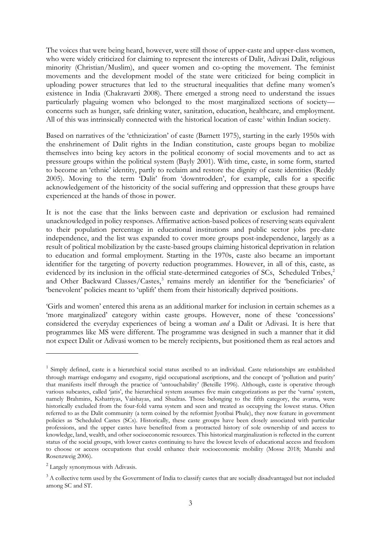The voices that were being heard, however, were still those of upper-caste and upper-class women, who were widely criticized for claiming to represent the interests of Dalit, Adivasi Dalit, religious minority (Christian/Muslim), and queer women and co-opting the movement. The feminist movements and the development model of the state were criticized for being complicit in uploading power structures that led to the structural inequalities that define many women's existence in India (Chakravarti 2008). There emerged a strong need to understand the issues particularly plaguing women who belonged to the most marginalized sections of society concerns such as hunger, safe drinking water, sanitation, education, healthcare, and employment. All of this was intrinsically connected with the historical location of caste<sup>[1](#page-4-0)</sup> within Indian society.

Based on narratives of the 'ethnicization' of caste (Barnett 1975), starting in the early 1950s with the enshrinement of Dalit rights in the Indian constitution, caste groups began to mobilize themselves into being key actors in the political economy of social movements and to act as pressure groups within the political system (Bayly 2001). With time, caste, in some form, started to become an 'ethnic' identity, partly to reclaim and restore the dignity of caste identities (Reddy 2005). Moving to the term 'Dalit' from 'downtrodden', for example, calls for a specific acknowledgement of the historicity of the social suffering and oppression that these groups have experienced at the hands of those in power.

It is not the case that the links between caste and deprivation or exclusion had remained unacknowledged in policy responses. Affirmative action-based polices of reserving seats equivalent to their population percentage in educational institutions and public sector jobs pre-date independence, and the list was expanded to cover more groups post-independence, largely as a result of political mobilization by the caste-based groups claiming historical deprivation in relation to education and formal employment. Starting in the 1970s, caste also became an important identifier for the targeting of poverty reduction programmes. However, in all of this, caste, as evidenced by its inclusion in the official state-determined categories of SCs, Scheduled Tribes,<sup>[2](#page-4-1)</sup> and Other Backward Classes/Castes, [3](#page-4-2) remains merely an identifier for the 'beneficiaries' of 'benevolent' policies meant to 'uplift' them from their historically deprived positions.

'Girls and women' entered this arena as an additional marker for inclusion in certain schemes as a 'more marginalized' category within caste groups. However, none of these 'concessions' considered the everyday experiences of being a woman *and* a Dalit or Adivasi. It is here that programmes like MS were different. The programme was designed in such a manner that it did not expect Dalit or Adivasi women to be merely recipients, but positioned them as real actors and

<span id="page-4-0"></span><sup>&</sup>lt;sup>1</sup> Simply defined, caste is a hierarchical social status ascribed to an individual. Caste relationships are established through marriage endogamy and exogamy, rigid occupational ascriptions, and the concept of 'pollution and purity' that manifests itself through the practice of 'untouchability' (Beteille 1996). Although, caste is operative through various subcastes, called 'jatis', the hierarchical system assumes five main categorizations as per the 'varna' system, namely Brahmins, Kshatriyas, Vaishayas, and Shudras. Those belonging to the fifth category, the avarna, were historically excluded from the four-fold varna system and seen and treated as occupying the lowest status. Often referred to as the Dalit community (a term coined by the reformist Jyotibai Phule), they now feature in government policies as 'Scheduled Castes (SCs). Historically, these caste groups have been closely associated with particular professions, and the upper castes have benefited from a protracted history of sole ownership of and access to knowledge, land, wealth, and other socioeconomic resources. This historical marginalization is reflected in the current status of the social groups, with lower castes continuing to have the lowest levels of educational access and freedom to choose or access occupations that could enhance their socioeconomic mobility (Mosse 2018; Munshi and Rosenzweig 2006).

<span id="page-4-1"></span><sup>2</sup> Largely synonymous with Adivasis.

<span id="page-4-2"></span><sup>&</sup>lt;sup>3</sup> A collective term used by the Government of India to classify castes that are socially disadvantaged but not included among SC and ST.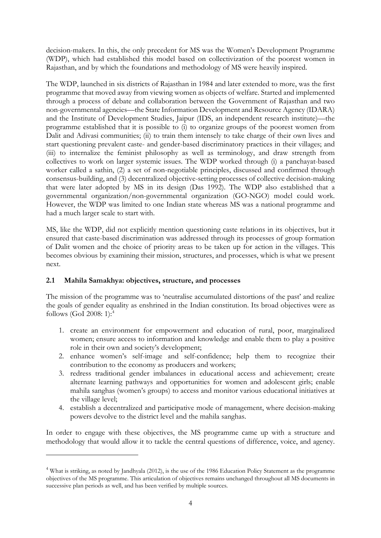decision-makers. In this, the only precedent for MS was the Women's Development Programme (WDP), which had established this model based on collectivization of the poorest women in Rajasthan, and by which the foundations and methodology of MS were heavily inspired.

The WDP, launched in six districts of Rajasthan in 1984 and later extended to more, was the first programme that moved away from viewing women as objects of welfare. Started and implemented through a process of debate and collaboration between the Government of Rajasthan and two non-governmental agencies—the State Information Development and Resource Agency (IDARA) and the Institute of Development Studies, Jaipur (IDS, an independent research institute)—the programme established that it is possible to (i) to organize groups of the poorest women from Dalit and Adivasi communities; (ii) to train them intensely to take charge of their own lives and start questioning prevalent caste- and gender-based discriminatory practices in their villages; and (iii) to internalize the feminist philosophy as well as terminology, and draw strength from collectives to work on larger systemic issues. The WDP worked through (i) a panchayat-based worker called a sathin, (2) a set of non-negotiable principles, discussed and confirmed through consensus-building, and (3) decentralized objective-setting processes of collective decision-making that were later adopted by MS in its design (Das 1992). The WDP also established that a governmental organization/non-governmental organization (GO-NGO) model could work. However, the WDP was limited to one Indian state whereas MS was a national programme and had a much larger scale to start with.

MS, like the WDP, did not explicitly mention questioning caste relations in its objectives, but it ensured that caste-based discrimination was addressed through its processes of group formation of Dalit women and the choice of priority areas to be taken up for action in the villages. This becomes obvious by examining their mission, structures, and processes, which is what we present next.

### **2.1 Mahila Samakhya: objectives, structure, and processes**

The mission of the programme was to 'neutralise accumulated distortions of the past' and realize the goals of gender equality as enshrined in the Indian constitution. Its broad objectives were as follows (GoI 2008: 1): [4](#page-5-0)

- 1. create an environment for empowerment and education of rural, poor, marginalized women; ensure access to information and knowledge and enable them to play a positive role in their own and society's development;
- 2. enhance women's self-image and self-confidence; help them to recognize their contribution to the economy as producers and workers;
- 3. redress traditional gender imbalances in educational access and achievement; create alternate learning pathways and opportunities for women and adolescent girls; enable mahila sanghas (women's groups) to access and monitor various educational initiatives at the village level;
- 4. establish a decentralized and participative mode of management, where decision-making powers devolve to the district level and the mahila sanghas.

In order to engage with these objectives, the MS programme came up with a structure and methodology that would allow it to tackle the central questions of difference, voice, and agency.

<span id="page-5-0"></span><sup>4</sup> What is striking, as noted by Jandhyala (2012), is the use of the 1986 Education Policy Statement as the programme objectives of the MS programme. This articulation of objectives remains unchanged throughout all MS documents in successive plan periods as well, and has been verified by multiple sources.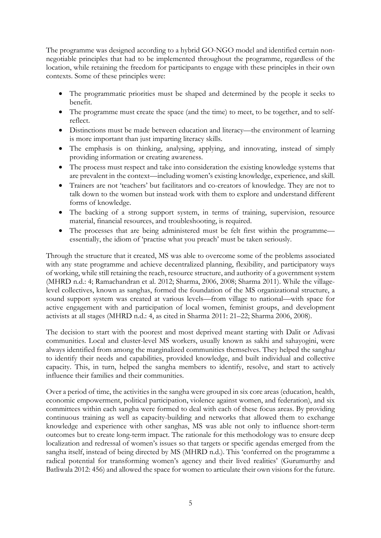The programme was designed according to a hybrid GO-NGO model and identified certain nonnegotiable principles that had to be implemented throughout the programme, regardless of the location, while retaining the freedom for participants to engage with these principles in their own contexts. Some of these principles were:

- The programmatic priorities must be shaped and determined by the people it seeks to benefit.
- The programme must create the space (and the time) to meet, to be together, and to selfreflect.
- Distinctions must be made between education and literacy—the environment of learning is more important than just imparting literacy skills.
- The emphasis is on thinking, analysing, applying, and innovating, instead of simply providing information or creating awareness.
- The process must respect and take into consideration the existing knowledge systems that are prevalent in the context—including women's existing knowledge, experience, and skill.
- Trainers are not 'teachers' but facilitators and co-creators of knowledge. They are not to talk down to the women but instead work with them to explore and understand different forms of knowledge.
- The backing of a strong support system, in terms of training, supervision, resource material, financial resources, and troubleshooting, is required.
- The processes that are being administered must be felt first within the programme essentially, the idiom of 'practise what you preach' must be taken seriously.

Through the structure that it created, MS was able to overcome some of the problems associated with any state programme and achieve decentralized planning, flexibility, and participatory ways of working, while still retaining the reach, resource structure, and authority of a government system (MHRD n.d.: 4; Ramachandran et al. 2012; Sharma, 2006, 2008; Sharma 2011). While the villagelevel collectives, known as sanghas, formed the foundation of the MS organizational structure, a sound support system was created at various levels—from village to national—with space for active engagement with and participation of local women, feminist groups, and development activists at all stages (MHRD n.d.: 4, as cited in Sharma 2011: 21–22; Sharma 2006, 2008).

The decision to start with the poorest and most deprived meant starting with Dalit or Adivasi communities. Local and cluster-level MS workers, usually known as sakhi and sahayogini, were always identified from among the marginalized communities themselves. They helped the sangha*s* to identify their needs and capabilities, provided knowledge, and built individual and collective capacity. This, in turn, helped the sangha members to identify, resolve, and start to actively influence their families and their communities.

Over a period of time, the activities in the sangha were grouped in six core areas (education, health, economic empowerment, political participation, violence against women, and federation), and six committees within each sangha were formed to deal with each of these focus areas. By providing continuous training as well as capacity-building and networks that allowed them to exchange knowledge and experience with other sanghas, MS was able not only to influence short-term outcomes but to create long-term impact. The rationale for this methodology was to ensure deep localization and redressal of women's issues so that targets or specific agendas emerged from the sangha itself, instead of being directed by MS (MHRD n.d.). This 'conferred on the programme a radical potential for transforming women's agency and their lived realities' (Gurumurthy and Batliwala 2012: 456) and allowed the space for women to articulate their own visions for the future.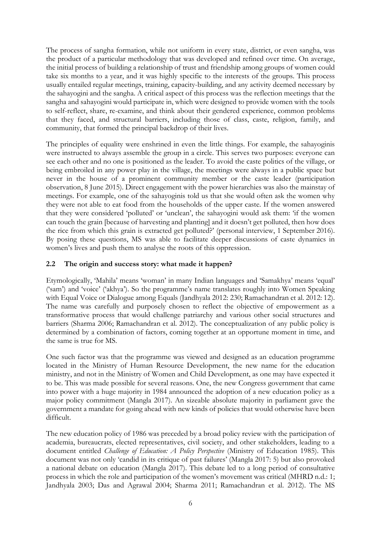The process of sangha formation, while not uniform in every state, district, or even sangha, was the product of a particular methodology that was developed and refined over time. On average, the initial process of building a relationship of trust and friendship among groups of women could take six months to a year, and it was highly specific to the interests of the groups. This process usually entailed regular meetings, training, capacity-building, and any activity deemed necessary by the sahayogini and the sangha. A critical aspect of this process was the reflection meetings that the sangha and sahayogini would participate in, which were designed to provide women with the tools to self-reflect, share, re-examine, and think about their gendered experience, common problems that they faced, and structural barriers, including those of class, caste, religion, family, and community, that formed the principal backdrop of their lives.

The principles of equality were enshrined in even the little things. For example, the sahayoginis were instructed to always assemble the group in a circle. This serves two purposes: everyone can see each other and no one is positioned as the leader. To avoid the caste politics of the village, or being embroiled in any power play in the village, the meetings were always in a public space but never in the house of a prominent community member or the caste leader (participation observation, 8 June 2015). Direct engagement with the power hierarchies was also the mainstay of meetings. For example, one of the sahayoginis told us that she would often ask the women why they were not able to eat food from the households of the upper caste. If the women answered that they were considered 'polluted' or 'unclean', the sahayogini would ask them: 'if the women can touch the grain [because of harvesting and planting] and it doesn't get polluted, then how does the rice from which this grain is extracted get polluted?' (personal interview, 1 September 2016). By posing these questions, MS was able to facilitate deeper discussions of caste dynamics in women's lives and push them to analyse the roots of this oppression.

## **2.2 The origin and success story: what made it happen?**

Etymologically, 'Mahila' means 'woman' in many Indian languages and 'Samakhya' means 'equal' ('sam') and 'voice' ('akhya'). So the programme's name translates roughly into Women Speaking with Equal Voice or Dialogue among Equals (Jandhyala 2012: 230; Ramachandran et al. 2012: 12). The name was carefully and purposely chosen to reflect the objective of empowerment as a transformative process that would challenge patriarchy and various other social structures and barriers (Sharma 2006; Ramachandran et al. 2012). The conceptualization of any public policy is determined by a combination of factors, coming together at an opportune moment in time, and the same is true for MS.

One such factor was that the programme was viewed and designed as an education programme located in the Ministry of Human Resource Development, the new name for the education ministry, and not in the Ministry of Women and Child Development, as one may have expected it to be. This was made possible for several reasons. One, the new Congress government that came into power with a huge majority in 1984 announced the adoption of a new education policy as a major policy commitment (Mangla 2017). An sizeable absolute majority in parliament gave the government a mandate for going ahead with new kinds of policies that would otherwise have been difficult.

The new education policy of 1986 was preceded by a broad policy review with the participation of academia, bureaucrats, elected representatives, civil society, and other stakeholders, leading to a document entitled *Challenge of Education: A Policy Perspective* (Ministry of Education 1985). This document was not only 'candid in its critique of past failures' (Mangla 2017: 5) but also provoked a national debate on education (Mangla 2017). This debate led to a long period of consultative process in which the role and participation of the women's movement was critical (MHRD n.d.: 1; Jandhyala 2003; Das and Agrawal 2004; Sharma 2011; Ramachandran et al. 2012). The MS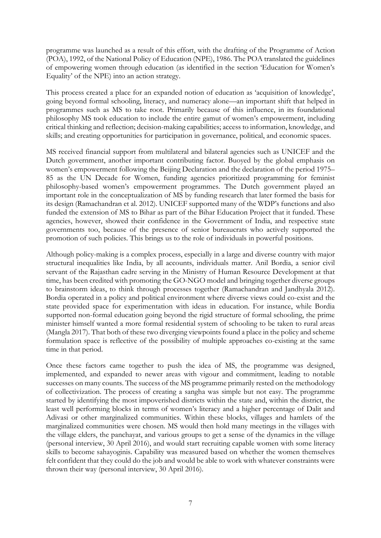programme was launched as a result of this effort, with the drafting of the Programme of Action (POA), 1992, of the National Policy of Education (NPE), 1986. The POA translated the guidelines of empowering women through education (as identified in the section 'Education for Women's Equality' of the NPE) into an action strategy.

This process created a place for an expanded notion of education as 'acquisition of knowledge', going beyond formal schooling, literacy, and numeracy alone—an important shift that helped in programmes such as MS to take root. Primarily because of this influence, in its foundational philosophy MS took education to include the entire gamut of women's empowerment, including critical thinking and reflection; decision-making capabilities; access to information, knowledge, and skills; and creating opportunities for participation in governance, political, and economic spaces.

MS received financial support from multilateral and bilateral agencies such as UNICEF and the Dutch government, another important contributing factor. Buoyed by the global emphasis on women's empowerment following the Beijing Declaration and the declaration of the period 1975– 85 as the UN Decade for Women, funding agencies prioritized programming for feminist philosophy-based women's empowerment programmes. The Dutch government played an important role in the conceptualization of MS by funding research that later formed the basis for its design (Ramachandran et al. 2012). UNICEF supported many of the WDP's functions and also funded the extension of MS to Bihar as part of the Bihar Education Project that it funded. These agencies, however, showed their confidence in the Government of India, and respective state governments too, because of the presence of senior bureaucrats who actively supported the promotion of such policies. This brings us to the role of individuals in powerful positions.

Although policy-making is a complex process, especially in a large and diverse country with major structural inequalities like India, by all accounts, individuals matter. Anil Bordia, a senior civil servant of the Rajasthan cadre serving in the Ministry of Human Resource Development at that time, has been credited with promoting the GO-NGO model and bringing together diverse groups to brainstorm ideas, to think through processes together (Ramachandran and Jandhyala 2012). Bordia operated in a policy and political environment where diverse views could co-exist and the state provided space for experimentation with ideas in education. For instance, while Bordia supported non-formal education going beyond the rigid structure of formal schooling, the prime minister himself wanted a more formal residential system of schooling to be taken to rural areas (Mangla 2017). That both of these two diverging viewpoints found a place in the policy and scheme formulation space is reflective of the possibility of multiple approaches co-existing at the same time in that period.

Once these factors came together to push the idea of MS, the programme was designed, implemented, and expanded to newer areas with vigour and commitment, leading to notable successes on many counts. The success of the MS programme primarily rested on the methodology of collectivization. The process of creating a sangha was simple but not easy. The programme started by identifying the most impoverished districts within the state and, within the district, the least well performing blocks in terms of women's literacy and a higher percentage of Dalit and Adivasi or other marginalized communities. Within these blocks, villages and hamlets of the marginalized communities were chosen. MS would then hold many meetings in the villages with the village elders, the panchayat, and various groups to get a sense of the dynamics in the village (personal interview, 30 April 2016), and would start recruiting capable women with some literacy skills to become sahayoginis. Capability was measured based on whether the women themselves felt confident that they could do the job and would be able to work with whatever constraints were thrown their way (personal interview, 30 April 2016).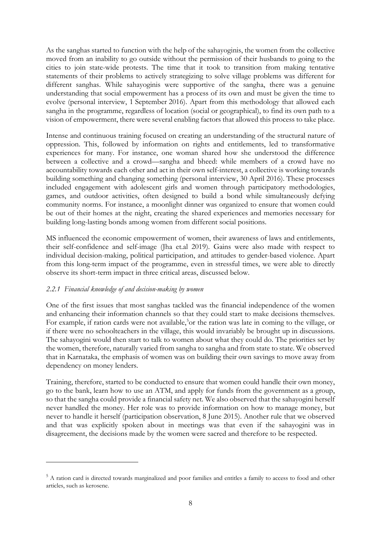As the sanghas started to function with the help of the sahayoginis, the women from the collective moved from an inability to go outside without the permission of their husbands to going to the cities to join state-wide protests. The time that it took to transition from making tentative statements of their problems to actively strategizing to solve village problems was different for different sanghas. While sahayoginis were supportive of the sangha, there was a genuine understanding that social empowerment has a process of its own and must be given the time to evolve (personal interview, 1 September 2016). Apart from this methodology that allowed each sangha in the programme, regardless of location (social or geographical), to find its own path to a vision of empowerment, there were several enabling factors that allowed this process to take place.

Intense and continuous training focused on creating an understanding of the structural nature of oppression. This, followed by information on rights and entitlements, led to transformative experiences for many. For instance, one woman shared how she understood the difference between a collective and a crowd—sangha and bheed: while members of a crowd have no accountability towards each other and act in their own self-interest, a collective is working towards building something and changing something (personal interview, 30 April 2016). These processes included engagement with adolescent girls and women through participatory methodologies, games, and outdoor activities, often designed to build a bond while simultaneously defying community norms. For instance, a moonlight dinner was organized to ensure that women could be out of their homes at the night, creating the shared experiences and memories necessary for building long-lasting bonds among women from different social positions.

MS influenced the economic empowerment of women, their awareness of laws and entitlements, their self-confidence and self-image (Jha et.al 2019). Gains were also made with respect to individual decision-making, political participation, and attitudes to gender-based violence. Apart from this long-term impact of the programme, even in stressful times, we were able to directly observe its short-term impact in three critical areas, discussed below.

### *2.2.1 Financial knowledge of and decision-making by women*

One of the first issues that most sanghas tackled was the financial independence of the women and enhancing their information channels so that they could start to make decisions themselves. For example, if ration cards were not available,<sup>[5](#page-9-0)</sup>or the ration was late in coming to the village, or if there were no schoolteachers in the village, this would invariably be brought up in discussions. The sahayogini would then start to talk to women about what they could do. The priorities set by the women, therefore, naturally varied from sangha to sangha and from state to state. We observed that in Karnataka, the emphasis of women was on building their own savings to move away from dependency on money lenders.

Training, therefore, started to be conducted to ensure that women could handle their own money, go to the bank, learn how to use an ATM, and apply for funds from the government as a group, so that the sangha could provide a financial safety net. We also observed that the sahayogini herself never handled the money. Her role was to provide information on how to manage money, but never to handle it herself (participation observation, 8 June 2015). Another rule that we observed and that was explicitly spoken about in meetings was that even if the sahayogini was in disagreement, the decisions made by the women were sacred and therefore to be respected.

<span id="page-9-0"></span><sup>&</sup>lt;sup>5</sup> A ration card is directed towards marginalized and poor families and entitles a family to access to food and other articles, such as kerosene.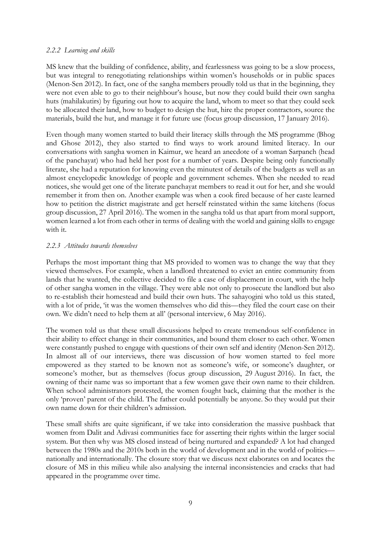#### *2.2.2 Learning and skills*

MS knew that the building of confidence, ability, and fearlessness was going to be a slow process, but was integral to renegotiating relationships within women's households or in public spaces (Menon-Sen 2012). In fact, one of the sangha members proudly told us that in the beginning, they were not even able to go to their neighbour's house, but now they could build their own sangha huts (mahilakutirs) by figuring out how to acquire the land, whom to meet so that they could seek to be allocated their land, how to budget to design the hut, hire the proper contractors, source the materials, build the hut, and manage it for future use (focus group discussion, 17 January 2016).

Even though many women started to build their literacy skills through the MS programme (Bhog and Ghose 2012), they also started to find ways to work around limited literacy. In our conversations with sangha women in Kaimur, we heard an anecdote of a woman Sarpanch (head of the panchayat) who had held her post for a number of years. Despite being only functionally literate, she had a reputation for knowing even the minutest of details of the budgets as well as an almost encyclopedic knowledge of people and government schemes. When she needed to read notices, she would get one of the literate panchayat members to read it out for her, and she would remember it from then on. Another example was when a cook fired because of her caste learned how to petition the district magistrate and get herself reinstated within the same kitchens (focus group discussion, 27 April 2016). The women in the sangha told us that apart from moral support, women learned a lot from each other in terms of dealing with the world and gaining skills to engage with it.

### *2.2.3 Attitudes towards themselves*

Perhaps the most important thing that MS provided to women was to change the way that they viewed themselves. For example, when a landlord threatened to evict an entire community from lands that he wanted, the collective decided to file a case of displacement in court, with the help of other sangha women in the village. They were able not only to prosecute the landlord but also to re-establish their homestead and build their own huts. The sahayogini who told us this stated, with a lot of pride, 'it was the women themselves who did this—they filed the court case on their own. We didn't need to help them at all' (personal interview, 6 May 2016).

The women told us that these small discussions helped to create tremendous self-confidence in their ability to effect change in their communities, and bound them closer to each other. Women were constantly pushed to engage with questions of their own self and identity (Menon-Sen 2012). In almost all of our interviews, there was discussion of how women started to feel more empowered as they started to be known not as someone's wife, or someone's daughter, or someone's mother, but as themselves (focus group discussion, 29 August 2016). In fact, the owning of their name was so important that a few women gave their own name to their children. When school administrators protested, the women fought back, claiming that the mother is the only 'proven' parent of the child. The father could potentially be anyone. So they would put their own name down for their children's admission.

These small shifts are quite significant, if we take into consideration the massive pushback that women from Dalit and Adivasi communities face for asserting their rights within the larger social system. But then why was MS closed instead of being nurtured and expanded? A lot had changed between the 1980s and the 2010s both in the world of development and in the world of politics nationally and internationally. The closure story that we discuss next elaborates on and locates the closure of MS in this milieu while also analysing the internal inconsistencies and cracks that had appeared in the programme over time.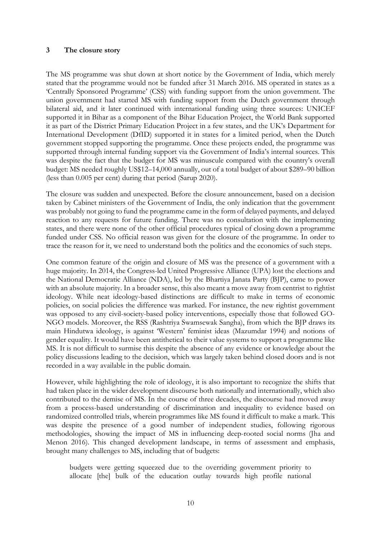#### **3 The closure story**

The MS programme was shut down at short notice by the Government of India, which merely stated that the programme would not be funded after 31 March 2016. MS operated in states as a 'Centrally Sponsored Programme' (CSS) with funding support from the union government. The union government had started MS with funding support from the Dutch government through bilateral aid, and it later continued with international funding using three sources: UNICEF supported it in Bihar as a component of the Bihar Education Project, the World Bank supported it as part of the District Primary Education Project in a few states, and the UK's Department for International Development (DfID) supported it in states for a limited period, when the Dutch government stopped supporting the programme. Once these projects ended, the programme was supported through internal funding support via the Government of India's internal sources. This was despite the fact that the budget for MS was minuscule compared with the country's overall budget: MS needed roughly US\$12–14,000 annually, out of a total budget of about \$289–90 billion (less than 0.005 per cent) during that period (Sarup 2020).

The closure was sudden and unexpected. Before the closure announcement, based on a decision taken by Cabinet ministers of the Government of India, the only indication that the government was probably not going to fund the programme came in the form of delayed payments, and delayed reaction to any requests for future funding. There was no consultation with the implementing states, and there were none of the other official procedures typical of closing down a programme funded under CSS. No official reason was given for the closure of the programme. In order to trace the reason for it, we need to understand both the politics and the economics of such steps.

One common feature of the origin and closure of MS was the presence of a government with a huge majority. In 2014, the Congress-led United Progressive Alliance (UPA) lost the elections and the National Democratic Alliance (NDA), led by the Bhartiya Janata Party (BJP), came to power with an absolute majority. In a broader sense, this also meant a move away from centrist to rightist ideology. While neat ideology-based distinctions are difficult to make in terms of economic policies, on social policies the difference was marked. For instance, the new rightist government was opposed to any civil-society-based policy interventions, especially those that followed GO-NGO models. Moreover, the RSS (Rashtriya Swamsewak Sangha), from which the BJP draws its main Hindutwa ideology, is against 'Western' feminist ideas (Mazumdar 1994) and notions of gender equality. It would have been antithetical to their value systems to support a programme like MS. It is not difficult to surmise this despite the absence of any evidence or knowledge about the policy discussions leading to the decision, which was largely taken behind closed doors and is not recorded in a way available in the public domain.

However, while highlighting the role of ideology, it is also important to recognize the shifts that had taken place in the wider development discourse both nationally and internationally, which also contributed to the demise of MS. In the course of three decades, the discourse had moved away from a process-based understanding of discrimination and inequality to evidence based on randomized controlled trials, wherein programmes like MS found it difficult to make a mark. This was despite the presence of a good number of independent studies, following rigorous methodologies, showing the impact of MS in influencing deep-rooted social norms (Jha and Menon 2016). This changed development landscape, in terms of assessment and emphasis, brought many challenges to MS, including that of budgets:

budgets were getting squeezed due to the overriding government priority to allocate [the] bulk of the education outlay towards high profile national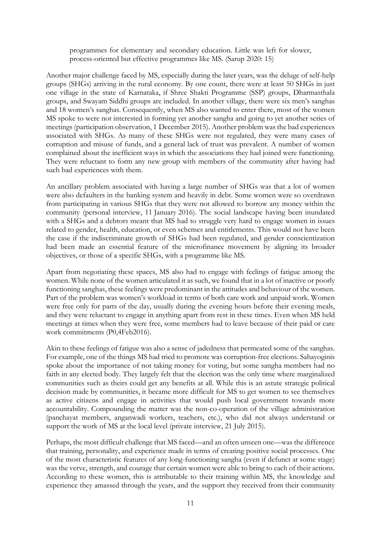programmes for elementary and secondary education. Little was left for slower, process-oriented but effective programmes like MS. (Sarup 2020: 15)

Another major challenge faced by MS, especially during the later years, was the deluge of self-help groups (SHGs) arriving in the rural economy. By one count, there were at least 50 SHGs in just one village in the state of Karnataka, if Shree Shakti Programme (SSP) groups, Dharmasthala groups, and Swayam Siddhi groups are included. In another village, there were six men's sanghas and 18 women's sanghas. Consequently, when MS also wanted to enter there, most of the women MS spoke to were not interested in forming yet another sangha and going to yet another series of meetings (participation observation, 1 December 2015). Another problem was the bad experiences associated with SHGs. As many of these SHGs were not regulated, they were many cases of corruption and misuse of funds, and a general lack of trust was prevalent. A number of women complained about the inefficient ways in which the associations they had joined were functioning. They were reluctant to form any new group with members of the community after having had such bad experiences with them.

An ancillary problem associated with having a large number of SHGs was that a lot of women were also defaulters in the banking system and heavily in debt. Some women were so overdrawn from participating in various SHGs that they were not allowed to borrow any money within the community (personal interview, 11 January 2016). The social landscape having been inundated with a SHGs and a debtors meant that MS had to struggle very hard to engage women in issues related to gender, health, education, or even schemes and entitlements. This would not have been the case if the indiscriminate growth of SHGs had been regulated, and gender conscientization had been made an essential feature of the microfinance movement by aligning its broader objectives, or those of a specific SHGs, with a programme like MS.

Apart from negotiating these spaces, MS also had to engage with feelings of fatigue among the women. While none of the women articulated it as such, we found that in a lot of inactive or poorly functioning sanghas, these feelings were predominant in the attitudes and behaviour of the women. Part of the problem was women's workload in terms of both care work and unpaid work. Women were free only for parts of the day, usually during the evening hours before their evening meals, and they were reluctant to engage in anything apart from rest in these times. Even when MS held meetings at times when they were free, some members had to leave because of their paid or care work commitments (P0,4Feb2016).

Akin to these feelings of fatigue was also a sense of jadedness that permeated some of the sanghas. For example, one of the things MS had tried to promote was corruption-free elections. Sahayoginis spoke about the importance of not taking money for voting, but some sangha members had no faith in any elected body. They largely felt that the election was the only time where marginalized communities such as theirs could get any benefits at all. While this is an astute strategic political decision made by communities, it became more difficult for MS to get women to see themselves as active citizens and engage in activities that would push local government towards more accountability. Compounding the matter was the non-co-operation of the village administration (panchayat members, anganwadi workers, teachers, etc.), who did not always understand or support the work of MS at the local level (private interview, 21 July 2015).

Perhaps, the most difficult challenge that MS faced—and an often unseen one—was the difference that training, personality, and experience made in terms of creating positive social processes. One of the most characteristic features of any long-functioning sangha (even if defunct at some stage) was the verve, strength, and courage that certain women were able to bring to each of their actions. According to these women, this is attributable to their training within MS, the knowledge and experience they amassed through the years, and the support they received from their community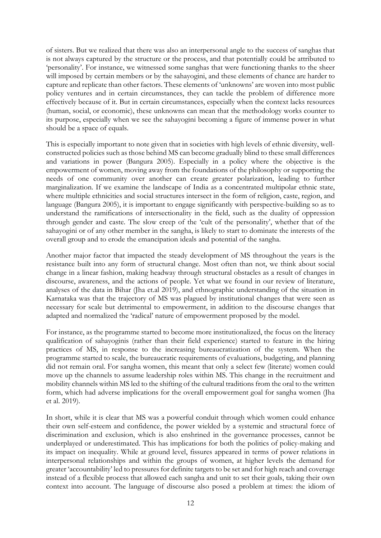of sisters. But we realized that there was also an interpersonal angle to the success of sanghas that is not always captured by the structure or the process, and that potentially could be attributed to 'personality'. For instance, we witnessed some sanghas that were functioning thanks to the sheer will imposed by certain members or by the sahayogini, and these elements of chance are harder to capture and replicate than other factors. These elements of 'unknowns' are woven into most public policy ventures and in certain circumstances, they can tackle the problem of difference more effectively because of it. But in certain circumstances, especially when the context lacks resources (human, social, or economic), these unknowns can mean that the methodology works counter to its purpose, especially when we see the sahayogini becoming a figure of immense power in what should be a space of equals.

This is especially important to note given that in societies with high levels of ethnic diversity, wellconstructed policies such as those behind MS can become gradually blind to these small differences and variations in power (Bangura 2005). Especially in a policy where the objective is the empowerment of women, moving away from the foundations of the philosophy or supporting the needs of one community over another can create greater polarization, leading to further marginalization. If we examine the landscape of India as a concentrated multipolar ethnic state, where multiple ethnicities and social structures intersect in the form of religion, caste, region, and language (Bangura 2005), it is important to engage significantly with perspective-building so as to understand the ramifications of intersectionality in the field, such as the duality of oppression through gender and caste. The slow creep of the 'cult of the personality', whether that of the sahayogini or of any other member in the sangha, is likely to start to dominate the interests of the overall group and to erode the emancipation ideals and potential of the sangha.

Another major factor that impacted the steady development of MS throughout the years is the resistance built into any form of structural change. Most often than not, we think about social change in a linear fashion, making headway through structural obstacles as a result of changes in discourse, awareness, and the actions of people. Yet what we found in our review of literature, analyses of the data in Bihar (Jha et.al 2019), and ethnographic understanding of the situation in Karnataka was that the trajectory of MS was plagued by institutional changes that were seen as necessary for scale but detrimental to empowerment, in addition to the discourse changes that adapted and normalized the 'radical' nature of empowerment proposed by the model.

For instance, as the programme started to become more institutionalized, the focus on the literacy qualification of sahayoginis (rather than their field experience) started to feature in the hiring practices of MS, in response to the increasing bureaucratization of the system. When the programme started to scale, the bureaucratic requirements of evaluations, budgeting, and planning did not remain oral. For sangha women, this meant that only a select few (literate) women could move up the channels to assume leadership roles within MS. This change in the recruitment and mobility channels within MS led to the shifting of the cultural traditions from the oral to the written form, which had adverse implications for the overall empowerment goal for sangha women (Jha et al. 2019).

In short, while it is clear that MS was a powerful conduit through which women could enhance their own self-esteem and confidence, the power wielded by a systemic and structural force of discrimination and exclusion, which is also enshrined in the governance processes, cannot be underplayed or underestimated. This has implications for both the politics of policy-making and its impact on inequality. While at ground level, fissures appeared in terms of power relations in interpersonal relationships and within the groups of women, at higher levels the demand for greater 'accountability' led to pressures for definite targets to be set and for high reach and coverage instead of a flexible process that allowed each sangha and unit to set their goals, taking their own context into account. The language of discourse also posed a problem at times: the idiom of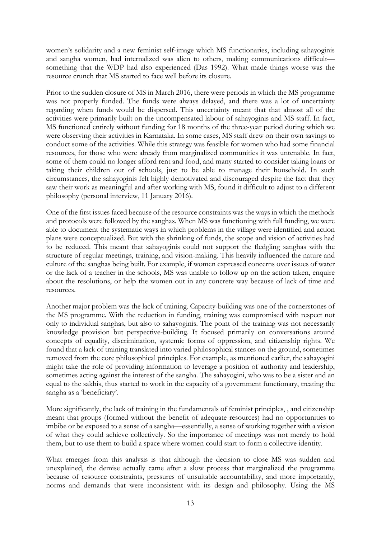women's solidarity and a new feminist self-image which MS functionaries, including sahayoginis and sangha women, had internalized was alien to others, making communications difficult something that the WDP had also experienced (Das 1992). What made things worse was the resource crunch that MS started to face well before its closure.

Prior to the sudden closure of MS in March 2016, there were periods in which the MS programme was not properly funded. The funds were always delayed, and there was a lot of uncertainty regarding when funds would be dispersed. This uncertainty meant that that almost all of the activities were primarily built on the uncompensated labour of sahayoginis and MS staff. In fact, MS functioned entirely without funding for 18 months of the three-year period during which we were observing their activities in Karnataka. In some cases, MS staff drew on their own savings to conduct some of the activities. While this strategy was feasible for women who had some financial resources, for those who were already from marginalized communities it was untenable. In fact, some of them could no longer afford rent and food, and many started to consider taking loans or taking their children out of schools, just to be able to manage their household. In such circumstances, the sahayoginis felt highly demotivated and discouraged despite the fact that they saw their work as meaningful and after working with MS, found it difficult to adjust to a different philosophy (personal interview, 11 January 2016).

One of the first issues faced because of the resource constraints was the ways in which the methods and protocols were followed by the sanghas. When MS was functioning with full funding, we were able to document the systematic ways in which problems in the village were identified and action plans were conceptualized. But with the shrinking of funds, the scope and vision of activities had to be reduced. This meant that sahayoginis could not support the fledgling sanghas with the structure of regular meetings, training, and vision-making. This heavily influenced the nature and culture of the sanghas being built. For example, if women expressed concerns over issues of water or the lack of a teacher in the schools, MS was unable to follow up on the action taken, enquire about the resolutions, or help the women out in any concrete way because of lack of time and resources.

Another major problem was the lack of training. Capacity-building was one of the cornerstones of the MS programme. With the reduction in funding, training was compromised with respect not only to individual sanghas, but also to sahayoginis. The point of the training was not necessarily knowledge provision but perspective-building. It focused primarily on conversations around concepts of equality, discrimination, systemic forms of oppression, and citizenship rights. We found that a lack of training translated into varied philosophical stances on the ground, sometimes removed from the core philosophical principles. For example, as mentioned earlier, the sahayogini might take the role of providing information to leverage a position of authority and leadership, sometimes acting against the interest of the sangha. The sahayogini, who was to be a sister and an equal to the sakhis, thus started to work in the capacity of a government functionary, treating the sangha as a 'beneficiary'.

More significantly, the lack of training in the fundamentals of feminist principles, , and citizenship meant that groups (formed without the benefit of adequate resources) had no opportunities to imbibe or be exposed to a sense of a sangha—essentially, a sense of working together with a vision of what they could achieve collectively. So the importance of meetings was not merely to hold them, but to use them to build a space where women could start to form a collective identity.

What emerges from this analysis is that although the decision to close MS was sudden and unexplained, the demise actually came after a slow process that marginalized the programme because of resource constraints, pressures of unsuitable accountability, and more importantly, norms and demands that were inconsistent with its design and philosophy. Using the MS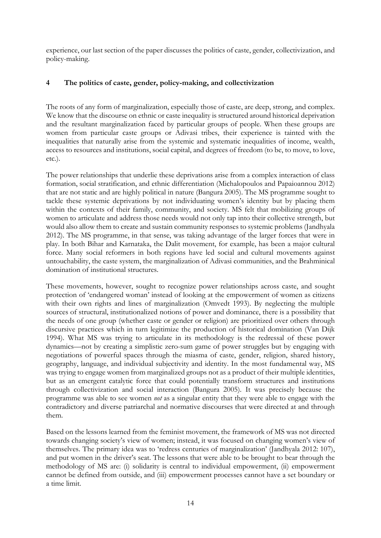experience, our last section of the paper discusses the politics of caste, gender, collectivization, and policy-making.

## **4 The politics of caste, gender, policy-making, and collectivization**

The roots of any form of marginalization, especially those of caste, are deep, strong, and complex. We know that the discourse on ethnic or caste inequality is structured around historical deprivation and the resultant marginalization faced by particular groups of people. When these groups are women from particular caste groups or Adivasi tribes, their experience is tainted with the inequalities that naturally arise from the systemic and systematic inequalities of income, wealth, access to resources and institutions, social capital, and degrees of freedom (to be, to move, to love, etc.).

The power relationships that underlie these deprivations arise from a complex interaction of class formation, social stratification, and ethnic differentiation (Michalopoulos and Papaioannou 2012) that are not static and are highly political in nature (Bangura 2005). The MS programme sought to tackle these systemic deprivations by not individuating women's identity but by placing them within the contexts of their family, community, and society. MS felt that mobilizing groups of women to articulate and address those needs would not only tap into their collective strength, but would also allow them to create and sustain community responses to systemic problems (Jandhyala 2012). The MS programme, in that sense, was taking advantage of the larger forces that were in play. In both Bihar and Karnataka, the Dalit movement, for example, has been a major cultural force. Many social reformers in both regions have led social and cultural movements against untouchability, the caste system, the marginalization of Adivasi communities, and the Brahminical domination of institutional structures.

These movements, however, sought to recognize power relationships across caste, and sought protection of 'endangered woman' instead of looking at the empowerment of women as citizens with their own rights and lines of marginalization (Omvedt 1993). By neglecting the multiple sources of structural, institutionalized notions of power and dominance, there is a possibility that the needs of one group (whether caste or gender or religion) are prioritized over others through discursive practices which in turn legitimize the production of historical domination (Van Dijk 1994). What MS was trying to articulate in its methodology is the redressal of these power dynamics—not by creating a simplistic zero-sum game of power struggles but by engaging with negotiations of powerful spaces through the miasma of caste, gender, religion, shared history, geography, language, and individual subjectivity and identity. In the most fundamental way, MS was trying to engage women from marginalized groups not as a product of their multiple identities, but as an emergent catalytic force that could potentially transform structures and institutions through collectivization and social interaction (Bangura 2005). It was precisely because the programme was able to see women *not* as a singular entity that they were able to engage with the contradictory and diverse patriarchal and normative discourses that were directed at and through them.

Based on the lessons learned from the feminist movement, the framework of MS was not directed towards changing society's view of women; instead, it was focused on changing women's view of themselves. The primary idea was to 'redress centuries of marginalization' (Jandhyala 2012: 107), and put women in the driver's seat. The lessons that were able to be brought to bear through the methodology of MS are: (i) solidarity is central to individual empowerment, (ii) empowerment cannot be defined from outside, and (iii) empowerment processes cannot have a set boundary or a time limit.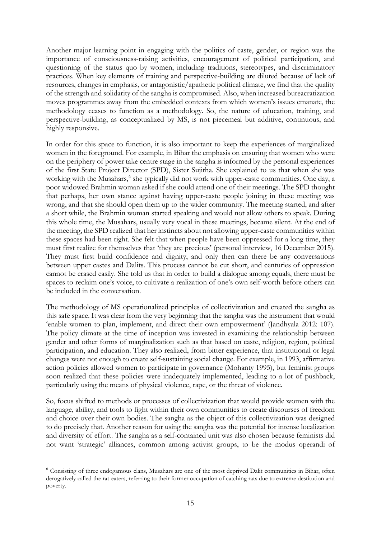Another major learning point in engaging with the politics of caste, gender, or region was the importance of consciousness-raising activities, encouragement of political participation, and questioning of the status quo by women, including traditions, stereotypes, and discriminatory practices. When key elements of training and perspective-building are diluted because of lack of resources, changes in emphasis, or antagonistic/apathetic political climate, we find that the quality of the strength and solidarity of the sangha is compromised. Also, when increased bureacratization moves programmes away from the embedded contexts from which women's issues emanate, the methodology ceases to function as a methodology. So, the nature of education, training, and perspective-building, as conceptualized by MS, is not piecemeal but additive, continuous, and highly responsive.

In order for this space to function, it is also important to keep the experiences of marginalized women in the foreground. For example, in Bihar the emphasis on ensuring that women who were on the periphery of power take centre stage in the sangha is informed by the personal experiences of the first State Project Director (SPD), Sister Sujitha. She explained to us that when she was working with the Musahars, [6](#page-16-0) she typically did not work with upper-caste communities. One day, a poor widowed Brahmin woman asked if she could attend one of their meetings. The SPD thought that perhaps, her own stance against having upper-caste people joining in these meeting was wrong, and that she should open them up to the wider community. The meeting started, and after a short while, the Brahmin woman started speaking and would not allow others to speak. During this whole time, the Musahars, usually very vocal in these meetings, became silent. At the end of the meeting, the SPD realized that her instincts about not allowing upper-caste communities within these spaces had been right. She felt that when people have been oppressed for a long time, they must first realize for themselves that 'they are precious' (personal interview, 16 December 2015). They must first build confidence and dignity, and only then can there be any conversations between upper castes and Dalits. This process cannot be cut short, and centuries of oppression cannot be erased easily. She told us that in order to build a dialogue among equals, there must be spaces to reclaim one's voice, to cultivate a realization of one's own self-worth before others can be included in the conversation.

The methodology of MS operationalized principles of collectivization and created the sangha as this safe space. It was clear from the very beginning that the sangha was the instrument that would 'enable women to plan, implement, and direct their own empowerment' (Jandhyala 2012: 107). The policy climate at the time of inception was invested in examining the relationship between gender and other forms of marginalization such as that based on caste, religion, region, political participation, and education. They also realized, from bitter experience, that institutional or legal changes were not enough to create self-sustaining social change. For example, in 1993, affirmative action policies allowed women to participate in governance (Mohanty 1995), but feminist groups soon realized that these policies were inadequately implemented, leading to a lot of pushback, particularly using the means of physical violence, rape, or the threat of violence.

So, focus shifted to methods or processes of collectivization that would provide women with the language, ability, and tools to fight within their own communities to create discourses of freedom and choice over their own bodies. The sangha as the object of this collectivization was designed to do precisely that. Another reason for using the sangha was the potential for intense localization and diversity of effort. The sangha as a self-contained unit was also chosen because feminists did not want 'strategic' alliances, common among activist groups, to be the modus operandi of

<span id="page-16-0"></span><sup>&</sup>lt;sup>6</sup> Consisting of three endogamous clans, Musahars are one of the most deprived Dalit communities in Bihar, often derogatively called the rat-eaters, referring to their former occupation of catching rats due to extreme destitution and poverty.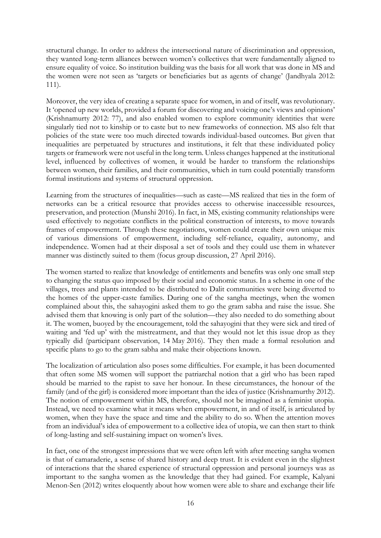structural change. In order to address the intersectional nature of discrimination and oppression, they wanted long-term alliances between women's collectives that were fundamentally aligned to ensure equality of voice. So institution building was the basis for all work that was done in MS and the women were not seen as 'targets or beneficiaries but as agents of change' (Jandhyala 2012: 111).

Moreover, the very idea of creating a separate space for women, in and of itself, was revolutionary. It 'opened up new worlds, provided a forum for discovering and voicing one's views and opinions' (Krishnamurty 2012: 77), and also enabled women to explore community identities that were singularly tied not to kinship or to caste but to new frameworks of connection. MS also felt that policies of the state were too much directed towards individual-based outcomes. But given that inequalities are perpetuated by structures and institutions, it felt that these individuated policy targets or framework were not useful in the long term. Unless changes happened at the institutional level, influenced by collectives of women, it would be harder to transform the relationships between women, their families, and their communities, which in turn could potentially transform formal institutions and systems of structural oppression.

Learning from the structures of inequalities—such as caste—MS realized that ties in the form of networks can be a critical resource that provides access to otherwise inaccessible resources, preservation, and protection (Munshi 2016). In fact, in MS, existing community relationships were used effectively to negotiate conflicts in the political construction of interests, to move towards frames of empowerment. Through these negotiations, women could create their own unique mix of various dimensions of empowerment, including self-reliance, equality, autonomy, and independence. Women had at their disposal a set of tools and they could use them in whatever manner was distinctly suited to them (focus group discussion, 27 April 2016).

The women started to realize that knowledge of entitlements and benefits was only one small step to changing the status quo imposed by their social and economic status. In a scheme in one of the villages, trees and plants intended to be distributed to Dalit communities were being diverted to the homes of the upper-caste families. During one of the sangha meetings, when the women complained about this, the sahayogini asked them to go the gram sabha and raise the issue. She advised them that knowing is only part of the solution—they also needed to do something about it. The women, buoyed by the encouragement, told the sahayogini that they were sick and tired of waiting and 'fed up' with the mistreatment, and that they would not let this issue drop as they typically did (participant observation, 14 May 2016). They then made a formal resolution and specific plans to go to the gram sabha and make their objections known.

The localization of articulation also poses some difficulties. For example, it has been documented that often some MS women will support the patriarchal notion that a girl who has been raped should be married to the rapist to save her honour. In these circumstances, the honour of the family (and of the girl) is considered more important than the idea of justice (Krishnamurthy 2012). The notion of empowerment within MS, therefore, should not be imagined as a feminist utopia. Instead, we need to examine what it means when empowerment, in and of itself, is articulated by women, when they have the space and time and the ability to do so. When the attention moves from an individual's idea of empowerment to a collective idea of utopia, we can then start to think of long-lasting and self-sustaining impact on women's lives.

In fact, one of the strongest impressions that we were often left with after meeting sangha women is that of camaraderie, a sense of shared history and deep trust. It is evident even in the slightest of interactions that the shared experience of structural oppression and personal journeys was as important to the sangha women as the knowledge that they had gained. For example, Kalyani Menon-Sen (2012) writes eloquently about how women were able to share and exchange their life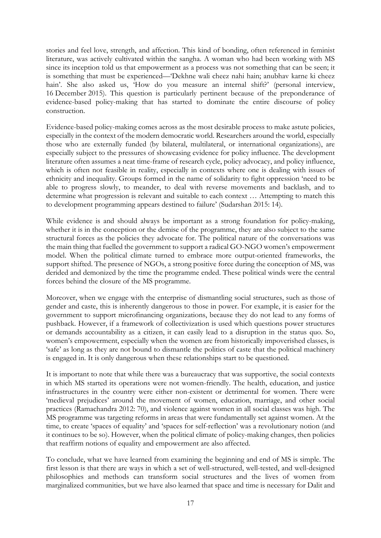stories and feel love, strength, and affection. This kind of bonding, often referenced in feminist literature, was actively cultivated within the sangha. A woman who had been working with MS since its inception told us that empowerment as a process was not something that can be seen; it is something that must be experienced—'Dekhne wali cheez nahi hain; anubhav karne ki cheez hain'. She also asked us, 'How do you measure an internal shift?' (personal interview, 16 December 2015). This question is particularly pertinent because of the preponderance of evidence-based policy-making that has started to dominate the entire discourse of policy construction.

Evidence-based policy-making comes across as the most desirable process to make astute policies, especially in the context of the modern democratic world. Researchers around the world, especially those who are externally funded (by bilateral, multilateral, or international organizations), are especially subject to the pressures of showcasing evidence for policy influence. The development literature often assumes a neat time-frame of research cycle, policy advocacy, and policy influence, which is often not feasible in reality, especially in contexts where one is dealing with issues of ethnicity and inequality. Groups formed in the name of solidarity to fight oppression 'need to be able to progress slowly, to meander, to deal with reverse movements and backlash, and to determine what progression is relevant and suitable to each context … Attempting to match this to development programming appears destined to failure' (Sudarshan 2015: 14).

While evidence is and should always be important as a strong foundation for policy-making, whether it is in the conception or the demise of the programme, they are also subject to the same structural forces as the policies they advocate for. The political nature of the conversations was the main thing that fuelled the government to support a radical GO-NGO women's empowerment model. When the political climate turned to embrace more output-oriented frameworks, the support shifted. The presence of NGOs, a strong positive force during the conception of MS, was derided and demonized by the time the programme ended. These political winds were the central forces behind the closure of the MS programme.

Moreover, when we engage with the enterprise of dismantling social structures, such as those of gender and caste, this is inherently dangerous to those in power. For example, it is easier for the government to support microfinancing organizations, because they do not lead to any forms of pushback. However, if a framework of collectivization is used which questions power structures or demands accountability as a citizen, it can easily lead to a disruption in the status quo. So, women's empowerment, especially when the women are from historically impoverished classes, is 'safe' as long as they are not bound to dismantle the politics of caste that the political machinery is engaged in. It is only dangerous when these relationships start to be questioned.

It is important to note that while there was a bureaucracy that was supportive, the social contexts in which MS started its operations were not women-friendly. The health, education, and justice infrastructures in the country were either non-existent or detrimental for women. There were 'medieval prejudices' around the movement of women, education, marriage, and other social practices (Ramachandra 2012: 70), and violence against women in all social classes was high. The MS programme was targeting reforms in areas that were fundamentally set against women. At the time, to create 'spaces of equality' and 'spaces for self-reflection' was a revolutionary notion (and it continues to be so). However, when the political climate of policy-making changes, then policies that reaffirm notions of equality and empowerment are also affected.

To conclude, what we have learned from examining the beginning and end of MS is simple. The first lesson is that there are ways in which a set of well-structured, well-tested, and well-designed philosophies and methods can transform social structures and the lives of women from marginalized communities, but we have also learned that space and time is necessary for Dalit and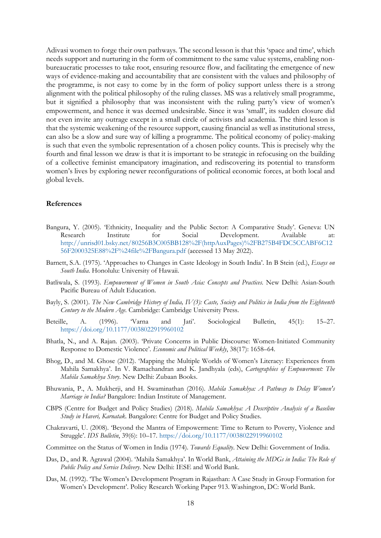Adivasi women to forge their own pathways. The second lesson is that this 'space and time', which needs support and nurturing in the form of commitment to the same value systems, enabling nonbureaucratic processes to take root, ensuring resource flow, and facilitating the emergence of new ways of evidence-making and accountability that are consistent with the values and philosophy of the programme, is not easy to come by in the form of policy support unless there is a strong alignment with the political philosophy of the ruling classes. MS was a relatively small programme, but it signified a philosophy that was inconsistent with the ruling party's view of women's empowerment, and hence it was deemed undesirable. Since it was 'small', its sudden closure did not even invite any outrage except in a small circle of activists and academia. The third lesson is that the systemic weakening of the resource support, causing financial as well as institutional stress, can also be a slow and sure way of killing a programme. The political economy of policy-making is such that even the symbolic representation of a chosen policy counts. This is precisely why the fourth and final lesson we draw is that it is important to be strategic in refocusing on the building of a collective feminist emancipatory imagination, and rediscovering its potential to transform women's lives by exploring newer reconfigurations of political economic forces, at both local and global levels.

#### **References**

- Bangura, Y. (2005). 'Ethnicity, Inequality and the Public Sector: A Comparative Study'. Geneva: UN Research Institute for Social Development. Available at: [http://unrisd01.bsky.net/80256B3C005BB128%2F\(httpAuxPages\)%2FB275B4FDC5CCABF6C12](http://unrisd01.bsky.net/80256B3C005BB128%2F(httpAuxPages)%2FB275B4FDC5CCABF6C1256F2000325E88%2F%24file%2FBangura.pdf) [56F2000325E88%2F%24file%2FBangura.pdf](http://unrisd01.bsky.net/80256B3C005BB128%2F(httpAuxPages)%2FB275B4FDC5CCABF6C1256F2000325E88%2F%24file%2FBangura.pdf) (accessed 13 May 2022).
- Barnett, S.A. (1975). 'Approaches to Changes in Caste Ideology in South India'. In B Stein (ed.), *Essays on South India*. Honolulu: University of Hawaii.
- Batliwala, S. (1993). *Empowerment of Women in South Asia: Concepts and Practices*. New Delhi: Asian-South Pacific Bureau of Adult Education.
- Bayly, S. (2001). *The New Cambridge History of India, IV(3): Caste, Society and Politics in India from the Eighteenth Century to the Modern Age*. Cambridge: Cambridge University Press.
- Beteille, A. (1996). 'Varna and Jati'. Sociological Bulletin, 45(1): 15–27. <https://doi.org/10.1177/0038022919960102>
- Bhatla, N., and A. Rajan. (2003). 'Private Concerns in Public Discourse: Women-Initiated Community Response to Domestic Violence'. *Economic and Political Weekly*, 38(17): 1658–64.
- Bhog, D., and M. Ghose (2012). 'Mapping the Multiple Worlds of Women's Literacy: Experiences from Mahila Samakhya'. In V. Ramachandran and K. Jandhyala (eds), *Cartographies of Empowerment: The Mahila Samakhya Story*. New Delhi: Zubaan Books.
- Bhuwania, P., A. Mukherji, and H. Swaminathan (2016). *Mahila Samakhya: A Pathway to Delay Women's Marriage in India?* Bangalore: Indian Institute of Management.
- CBPS (Centre for Budget and Policy Studies) (2018). *Mahila Samakhya: A Descriptive Analysis of a Baseline Study in Haveri, Karnatak*. Bangalore: Centre for Budget and Policy Studies.
- Chakravarti, U. (2008). 'Beyond the Mantra of Empowerment: Time to Return to Poverty, Violence and Struggle'. *IDS Bulletin*, 39(6): 10–17. <https://doi.org/10.1177/0038022919960102>
- Committee on the Status of Women in India (1974). *Towards Equality*. New Delhi: Government of India.
- Das, D., and R. Agrawal (2004). 'Mahila Samakhya'. In World Bank, *Attaining the MDGs in India: The Role of Public Policy and Service Delivery*. New Delhi: IESE and World Bank.
- Das, M. (1992). 'The Women's Development Program in Rajasthan: A Case Study in Group Formation for Women's Development'. Policy Research Working Paper 913. Washington, DC: World Bank.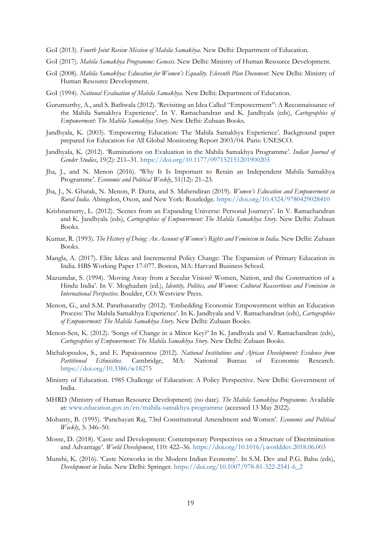- GoI (2013). *Fourth Joint Review Mission of Mahila Samakhya*. New Delhi: Department of Education.
- GoI (2017). *Mahila Samakhya Programme: Genesis*. New Delhi: Ministry of Human Resource Development.
- GoI (2008). *Mahila Samakhya: Education for Women's Equality. Eleventh Plan Document*. New Delhi: Ministry of Human Resource Development.
- GoI (1994). *National Evaluation of Mahila Samakhya*. New Delhi: Department of Education.
- Gurumurthy, A., and S. Batliwala (2012). 'Revisiting an Idea Called "Empowerment": A Reconnaissance of the Mahila Samakhya Experience'. In V. Ramachandran and K. Jandhyala (eds), *Cartographies of Empowerment: The Mahila Samakhya Story*. New Delhi: Zubaan Books.
- Jandhyala, K. (2003). 'Empowering Education: The Mahila Samakhya Experience'. Background paper prepared for Education for All Global Monitoring Report 2003/04. Paris: UNESCO.
- Jandhyala, K. (2012). 'Ruminations on Evaluation in the Mahila Samakhya Programme'. *Indian Journal of Gender Studies*, 19(2): 211–31. <https://doi.org/10.1177/097152151201900203>
- Jha, J., and N. Menon (2016). 'Why It Is Important to Retain an Independent Mahila Samakhya Programme'. *Economic and Political Weekly*, 51(12): 21–23.
- Jha, J., N. Ghatak, N. Menon, P. Dutta, and S. Mahendiran (2019). *Women's Education and Empowerment in Rural India*. Abingdon, Oxon, and New York: Routledge. <https://doi.org/10.4324/9780429028410>
- Krishnamurty, L. (2012). 'Scenes from an Expanding Universe: Personal Journeys'. In V. Ramachandran and K. Jandhyala (eds), *Cartographies of Empowerment: The Mahila Samakhya Story*. New Delhi: Zubaan Books.
- Kumar, R. (1993). *The History of Doing: An Account of Women's Rights and Feminism in India*. New Delhi: Zubaan Books.
- Mangla, A. (2017). Elite Ideas and Incremental Policy Change: The Expansion of Primary Education in India. HBS Working Paper 17-077. Boston, MA: Harvard Business School.
- Mazumdar, S. (1994). 'Moving Away from a Secular Vision? Women, Nation, and the Construction of a Hindu India'. In V. Moghadam (ed.), *Identity, Politics, and Women: Cultural Reassertions and Feminism in International Perspective*. Boulder, CO: Westview Press.
- Menon, G., and S.M. Parathasarathy (2012). 'Embedding Economic Empowerment within an Education Process: The Mahila Samakhya Experience'. In K. Jandhyala and V. Ramachandran (eds), *Cartographies of Empowerment: The Mahila Samakhya Story*. New Delhi: Zubaan Books.
- Menon-Sen, K. (2012). 'Songs of Change in a Minor Key?' In K. Jandhyala and V. Ramachandran (eds), *Cartographies of Empowerment: The Mahila Samakhya Story*. New Delhi: Zubaan Books.
- Michalopoulos, S., and E. Papaioannou (2012). *National Institutions and African Development: Evidence from Partitioned Ethnicities*. Cambridge, MA: National Bureau of Economic Research. <https://doi.org/10.3386/w18275>
- Ministry of Education. 1985 Challenge of Education: A Policy Perspective. New Delhi: Government of India.
- MHRD (Ministry of Human Resource Development) (no date). *The Mahila Samakhya Programme*. Available at: [www.education.gov.in/en/mahila-samakhya-programme](https://www.education.gov.in/en/mahila-samakhya-programme) (accessed 13 May 2022).
- Mohanty, B. (1995). 'Panchayati Raj, 73rd Constitutional Amendment and Women'. *Economic and Political Weekly*, 3: 346–50.
- Mosse, D. (2018). 'Caste and Development: Contemporary Perspectives on a Structure of Discrimination and Advantage'. *World Development*, 110: 422–36. <https://doi.org/10.1016/j.worlddev.2018.06.003>
- Munshi, K. (2016). 'Caste Networks in the Modern Indian Economy'. In S.M. Dev and P.G. Babu (eds), *Development in India*. New Delhi: Springer. [https://doi.org/10.1007/978-81-322-2541-6\\_2](https://doi.org/10.1007/978-81-322-2541-6_2)